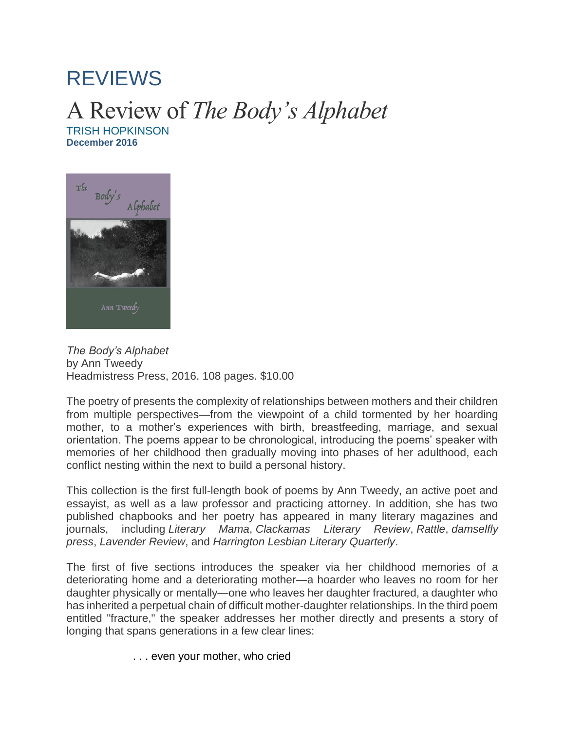## [REVIEWS](http://www.literarymama.com/reviews/)

## A Review of *The Body's Alphabet* [TRISH HOPKINSON](http://www.literarymama.com/contributor/trish-hopkinson)

**December 2016**



*The Body's Alphabet* by Ann Tweedy Headmistress Press, 2016. 108 pages. \$10.00

The poetry of presents the complexity of relationships between mothers and their children from multiple perspectives—from the viewpoint of a child tormented by her hoarding mother, to a mother's experiences with birth, breastfeeding, marriage, and sexual orientation. The poems appear to be chronological, introducing the poems' speaker with memories of her childhood then gradually moving into phases of her adulthood, each conflict nesting within the next to build a personal history.

This collection is the first full-length book of poems by Ann Tweedy, an active poet and essayist, as well as a law professor and practicing attorney. In addition, she has two published chapbooks and her poetry has appeared in many literary magazines and journals, including *Literary Mama*, *Clackamas Literary Review*, *Rattle*, *damselfly press*, *Lavender Review*, and *Harrington Lesbian Literary Quarterly*.

The first of five sections introduces the speaker via her childhood memories of a deteriorating home and a deteriorating mother—a hoarder who leaves no room for her daughter physically or mentally—one who leaves her daughter fractured, a daughter who has inherited a perpetual chain of difficult mother-daughter relationships. In the third poem entitled "fracture," the speaker addresses her mother directly and presents a story of longing that spans generations in a few clear lines:

. . . even your mother, who cried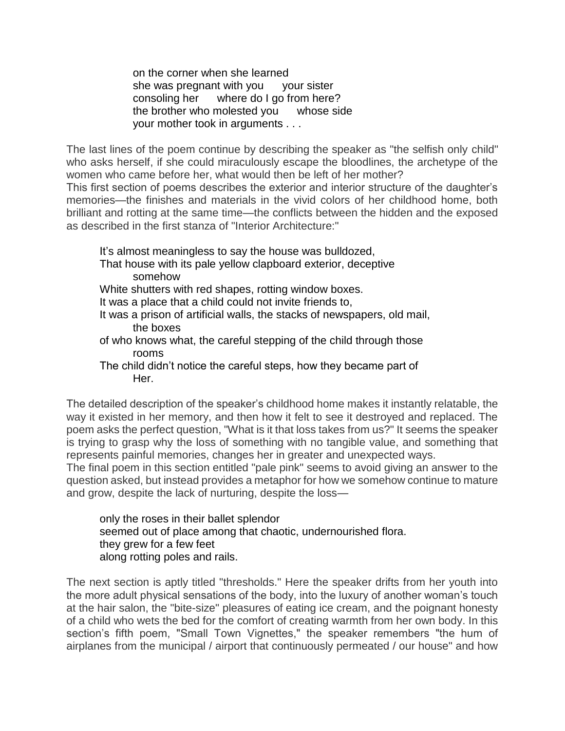on the corner when she learned she was pregnant with you your sister consoling her where do I go from here? the brother who molested you whose side your mother took in arguments . . .

The last lines of the poem continue by describing the speaker as "the selfish only child" who asks herself, if she could miraculously escape the bloodlines, the archetype of the women who came before her, what would then be left of her mother?

This first section of poems describes the exterior and interior structure of the daughter's memories—the finishes and materials in the vivid colors of her childhood home, both brilliant and rotting at the same time—the conflicts between the hidden and the exposed as described in the first stanza of "Interior Architecture:"

It's almost meaningless to say the house was bulldozed, That house with its pale yellow clapboard exterior, deceptive somehow White shutters with red shapes, rotting window boxes. It was a place that a child could not invite friends to, It was a prison of artificial walls, the stacks of newspapers, old mail, the boxes of who knows what, the careful stepping of the child through those rooms

The child didn't notice the careful steps, how they became part of Her.

The detailed description of the speaker's childhood home makes it instantly relatable, the way it existed in her memory, and then how it felt to see it destroyed and replaced. The poem asks the perfect question, "What is it that loss takes from us?" It seems the speaker is trying to grasp why the loss of something with no tangible value, and something that represents painful memories, changes her in greater and unexpected ways.

The final poem in this section entitled "pale pink" seems to avoid giving an answer to the question asked, but instead provides a metaphor for how we somehow continue to mature and grow, despite the lack of nurturing, despite the loss—

only the roses in their ballet splendor seemed out of place among that chaotic, undernourished flora. they grew for a few feet along rotting poles and rails.

The next section is aptly titled "thresholds." Here the speaker drifts from her youth into the more adult physical sensations of the body, into the luxury of another woman's touch at the hair salon, the "bite-size" pleasures of eating ice cream, and the poignant honesty of a child who wets the bed for the comfort of creating warmth from her own body. In this section's fifth poem, "Small Town Vignettes," the speaker remembers "the hum of airplanes from the municipal / airport that continuously permeated / our house" and how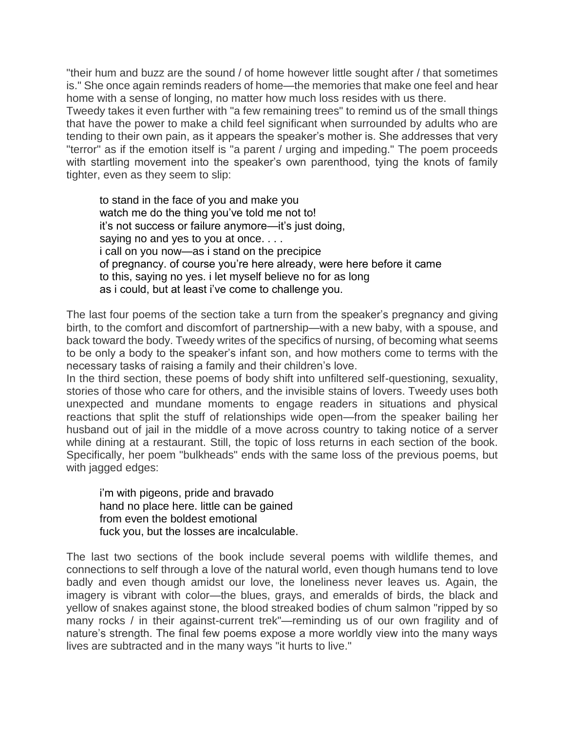"their hum and buzz are the sound / of home however little sought after / that sometimes is." She once again reminds readers of home—the memories that make one feel and hear home with a sense of longing, no matter how much loss resides with us there.

Tweedy takes it even further with "a few remaining trees" to remind us of the small things that have the power to make a child feel significant when surrounded by adults who are tending to their own pain, as it appears the speaker's mother is. She addresses that very "terror" as if the emotion itself is "a parent / urging and impeding." The poem proceeds with startling movement into the speaker's own parenthood, tying the knots of family tighter, even as they seem to slip:

to stand in the face of you and make you watch me do the thing you've told me not to! it's not success or failure anymore—it's just doing, saying no and yes to you at once. . . . i call on you now—as i stand on the precipice of pregnancy. of course you're here already, were here before it came to this, saying no yes. i let myself believe no for as long as i could, but at least i've come to challenge you.

The last four poems of the section take a turn from the speaker's pregnancy and giving birth, to the comfort and discomfort of partnership—with a new baby, with a spouse, and back toward the body. Tweedy writes of the specifics of nursing, of becoming what seems to be only a body to the speaker's infant son, and how mothers come to terms with the necessary tasks of raising a family and their children's love.

In the third section, these poems of body shift into unfiltered self-questioning, sexuality, stories of those who care for others, and the invisible stains of lovers. Tweedy uses both unexpected and mundane moments to engage readers in situations and physical reactions that split the stuff of relationships wide open—from the speaker bailing her husband out of jail in the middle of a move across country to taking notice of a server while dining at a restaurant. Still, the topic of loss returns in each section of the book. Specifically, her poem "bulkheads" ends with the same loss of the previous poems, but with jagged edges:

i'm with pigeons, pride and bravado hand no place here. little can be gained from even the boldest emotional fuck you, but the losses are incalculable.

The last two sections of the book include several poems with wildlife themes, and connections to self through a love of the natural world, even though humans tend to love badly and even though amidst our love, the loneliness never leaves us. Again, the imagery is vibrant with color—the blues, grays, and emeralds of birds, the black and yellow of snakes against stone, the blood streaked bodies of chum salmon "ripped by so many rocks / in their against-current trek"—reminding us of our own fragility and of nature's strength. The final few poems expose a more worldly view into the many ways lives are subtracted and in the many ways "it hurts to live."